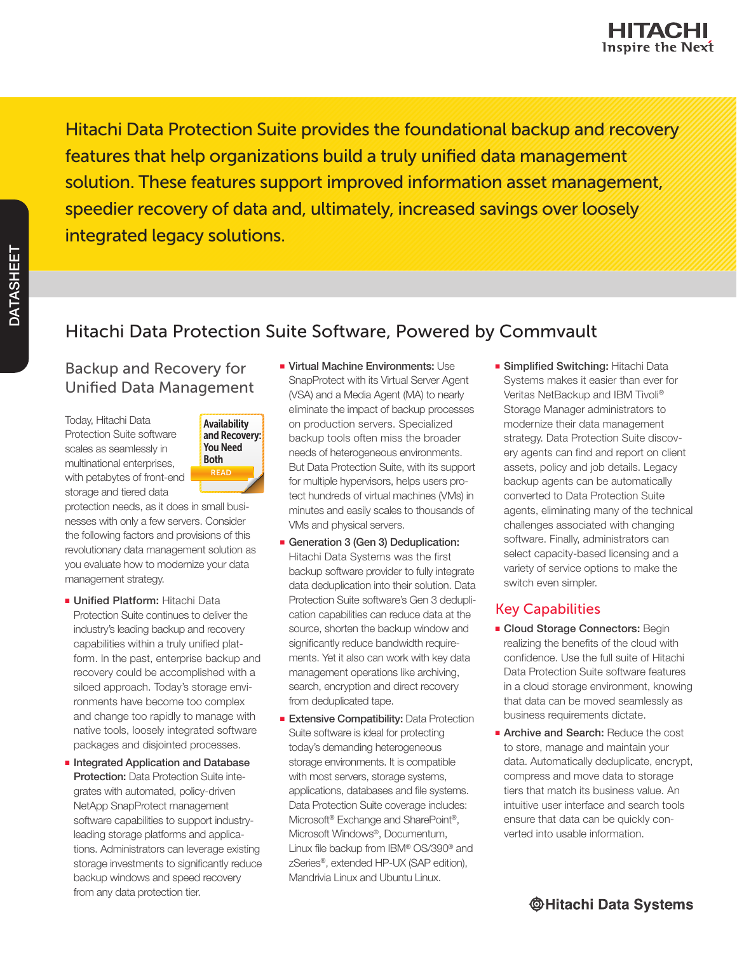Hitachi Data Protection Suite provides the foundational backup and recovery features that help organizations build a truly unified data management solution. These features support improved information asset management, speedier recovery of data and, ultimately, increased savings over loosely integrated legacy solutions.

# Hitachi Data Protection Suite Software, Powered by Commvault

## Backup and Recovery for Unified Data Management

Today, Hitachi Data Protection Suite software scales as seamlessly in multinational enterprises, with petabytes of front-end storage and tiered data



protection needs, as it does in small businesses with only a few servers. Consider the following factors and provisions of this revolutionary data management solution as you evaluate how to modernize your data management strategy.

- Unified Platform: Hitachi Data Protection Suite continues to deliver the industry's leading backup and recovery capabilities within a truly unified platform. In the past, enterprise backup and recovery could be accomplished with a siloed approach. Today's storage environments have become too complex and change too rapidly to manage with native tools, loosely integrated software packages and disjointed processes.
- Integrated Application and Database Protection: Data Protection Suite integrates with automated, policy-driven NetApp SnapProtect management software capabilities to support industryleading storage platforms and applications. Administrators can leverage existing storage investments to significantly reduce backup windows and speed recovery from any data protection tier.
- Virtual Machine Environments: Use SnapProtect with its Virtual Server Agent (VSA) and a Media Agent (MA) to nearly eliminate the impact of backup processes on production servers. Specialized backup tools often miss the broader needs of heterogeneous environments. But Data Protection Suite, with its support for multiple hypervisors, helps users protect hundreds of virtual machines (VMs) in minutes and easily scales to thousands of VMs and physical servers.
- Generation 3 (Gen 3) Deduplication: Hitachi Data Systems was the first backup software provider to fully integrate data deduplication into their solution. Data Protection Suite software's Gen 3 deduplication capabilities can reduce data at the source, shorten the backup window and significantly reduce bandwidth requirements. Yet it also can work with key data management operations like archiving, search, encryption and direct recovery from deduplicated tape.
- **Extensive Compatibility: Data Protection** Suite software is ideal for protecting today's demanding heterogeneous storage environments. It is compatible with most servers, storage systems, applications, databases and file systems. Data Protection Suite coverage includes: Microsoft® Exchange and SharePoint®, Microsoft Windows®, Documentum, Linux file backup from IBM® OS/390® and zSeries®, extended HP-UX (SAP edition), Mandrivia Linux and Ubuntu Linux.

■ Simplified Switching: Hitachi Data Systems makes it easier than ever for Veritas NetBackup and IBM Tivoli® Storage Manager administrators to modernize their data management strategy. Data Protection Suite discovery agents can find and report on client assets, policy and job details. Legacy backup agents can be automatically converted to Data Protection Suite agents, eliminating many of the technical challenges associated with changing software. Finally, administrators can select capacity-based licensing and a variety of service options to make the switch even simpler.

### Key Capabilities

- Cloud Storage Connectors: Begin realizing the benefits of the cloud with confidence. Use the full suite of Hitachi Data Protection Suite software features in a cloud storage environment, knowing that data can be moved seamlessly as business requirements dictate.
- Archive and Search: Reduce the cost to store, manage and maintain your data. Automatically deduplicate, encrypt, compress and move data to storage tiers that match its business value. An intuitive user interface and search tools ensure that data can be quickly converted into usable information.